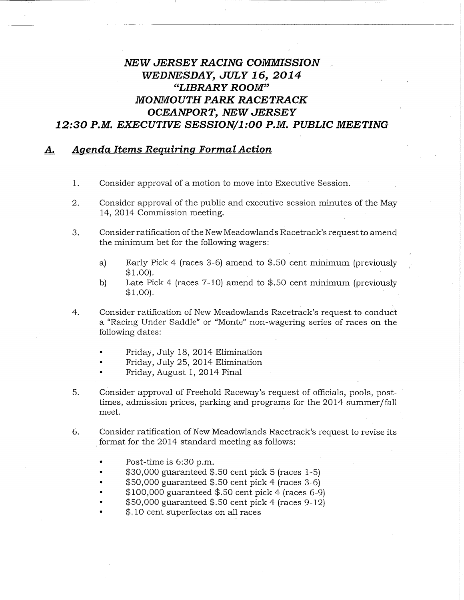## NEW JERSEY RACING COMMISSION WEDNESDAY, JULY 16, 2014 "LIBRARY ROOM" MONMOUTH PARK RACETRACK OCEANPORT, NEW JERSEY 12:30 P.M. EXECUTIVE SESSION/1:00 P.M. PUBLIC MEETING

## A. Aaenda Items Requiring Formal Action

- 1. Consider approval of a motion to move into Executive Session.
- 2. Consider approval of the public and executive session minutes of the May 14, 2014 Commission meeting.
- 3. Consider ratification of the New Meadowlands Racetrack's request to amend the minimum bet for the following wagers:
	- a) Early Pick 4 (races 3-6) amend to \$.50 cent minimum (previously  $$1.00$ ).
	- b) Late Pick 4 (races  $7-10$ ) amend to \$.50 cent minimum (previously  $$1.00$ ).
- 4. Consider ratification of New Meadowlands Racetrack's request to conduct a "Racing Under Saddle" or "Monte" non-wagering series of races on the following dates:
	- Friday, July 18, 2014 Elimination
	- Friday, July 25, 2014 Elimination
	- Friday, August 1, 2014 Final
- 5. Consider approval of Freehold Raceway's request of officials, pools, posttimes, admission prices, parking and programs for the 2014 summer/fall meet.
- 6. Consider ratification of New Meadowlands Racetrack's request to revise its format for the 2014 standard meeting as follows:
	- Post-time is 6:30 p.m.
	- $$30,000$  guaranteed  $$.50$  cent pick 5 (races 1-5)
	- $$50,000$  guaranteed  $$.50$  cent pick 4 (races 3-6)
	- $$100,000$  guaranteed  $$.50$  cent pick 4 (races 6-9)
	- \$50,000 guaranteed \$.50 cent pick 4 (races 9-12)
	- \$.10 cent superfectas on all races